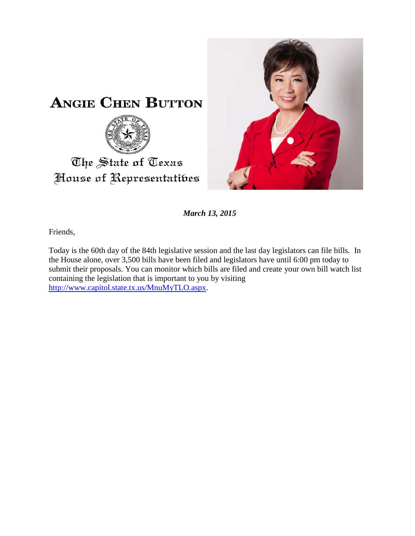



*March 13, 2015*

Friends,

Today is the 60th day of the 84th legislative session and the last day legislators can file bills. In the House alone, over 3,500 bills have been filed and legislators have until 6:00 pm today to submit their proposals. You can monitor which bills are filed and create your own bill watch list containing the legislation that is important to you by visiting [http://www.capitol.state.tx.us/MnuMyTLO.aspx.](http://www.capitol.state.tx.us/MnuMyTLO.aspx)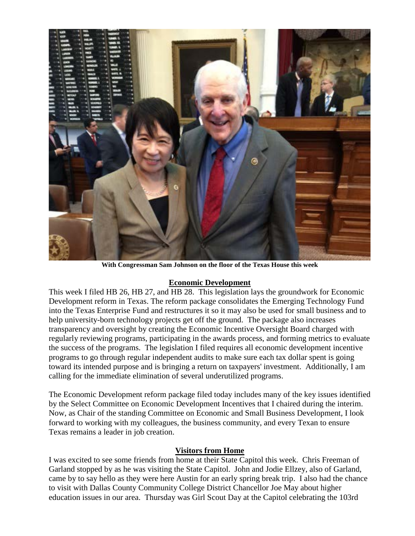

**With Congressman Sam Johnson on the floor of the Texas House this week**

## **Economic Development**

This week I filed HB 26, HB 27, and HB 28. This legislation lays the groundwork for Economic Development reform in Texas. The reform package consolidates the Emerging Technology Fund into the Texas Enterprise Fund and restructures it so it may also be used for small business and to help university-born technology projects get off the ground. The package also increases transparency and oversight by creating the Economic Incentive Oversight Board charged with regularly reviewing programs, participating in the awards process, and forming metrics to evaluate the success of the programs. The legislation I filed requires all economic development incentive programs to go through regular independent audits to make sure each tax dollar spent is going toward its intended purpose and is bringing a return on taxpayers' investment. Additionally, I am calling for the immediate elimination of several underutilized programs.

The Economic Development reform package filed today includes many of the key issues identified by the Select Committee on Economic Development Incentives that I chaired during the interim. Now, as Chair of the standing Committee on Economic and Small Business Development, I look forward to working with my colleagues, the business community, and every Texan to ensure Texas remains a leader in job creation.

## **Visitors from Home**

I was excited to see some friends from home at their State Capitol this week. Chris Freeman of Garland stopped by as he was visiting the State Capitol. John and Jodie Ellzey, also of Garland, came by to say hello as they were here Austin for an early spring break trip. I also had the chance to visit with Dallas County Community College District Chancellor Joe May about higher education issues in our area. Thursday was Girl Scout Day at the Capitol celebrating the 103rd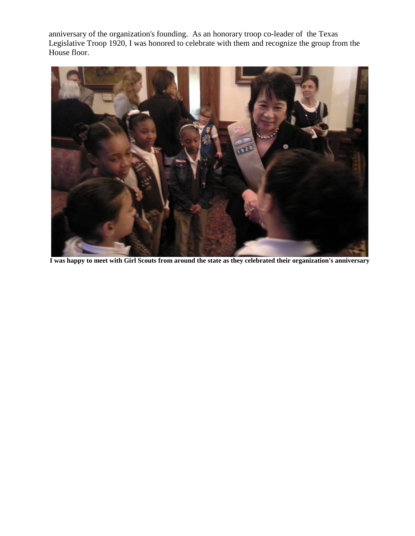anniversary of the organization's founding. As an honorary troop co-leader of the Texas Legislative Troop 1920, I was honored to celebrate with them and recognize the group from the House floor.



**I was happy to meet with Girl Scouts from around the state as they celebrated their organization's anniversary**